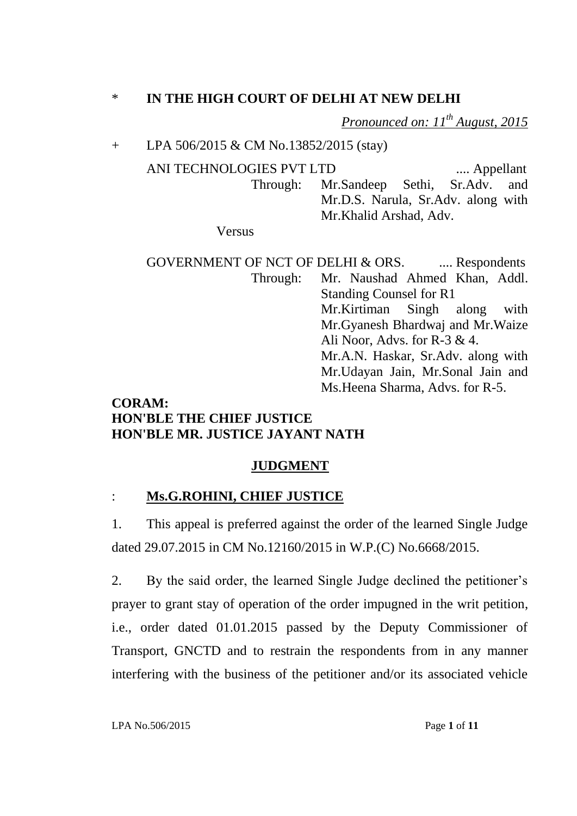## \* **IN THE HIGH COURT OF DELHI AT NEW DELHI**

*Pronounced on: 11th August, 2015* 

#### + LPA 506/2015 & CM No.13852/2015 (stay)

ANI TECHNOLOGIES PVT LTD .... Appellant Through: Mr.Sandeep Sethi, Sr.Adv. and Mr.D.S. Narula, Sr.Adv. along with Mr.Khalid Arshad, Adv.

Versus

GOVERNMENT OF NCT OF DELHI & ORS. .... Respondents Through: Mr. Naushad Ahmed Khan, Addl. Standing Counsel for R1 Mr.Kirtiman Singh along with Mr.Gyanesh Bhardwaj and Mr.Waize Ali Noor, Advs. for  $R-3 \& 4$ . Mr.A.N. Haskar, Sr.Adv. along with Mr.Udayan Jain, Mr.Sonal Jain and Ms.Heena Sharma, Advs. for R-5.

## **CORAM: HON'BLE THE CHIEF JUSTICE HON'BLE MR. JUSTICE JAYANT NATH**

# **JUDGMENT**

### : **Ms.G.ROHINI, CHIEF JUSTICE**

1. This appeal is preferred against the order of the learned Single Judge dated 29.07.2015 in CM No.12160/2015 in W.P.(C) No.6668/2015.

2. By the said order, the learned Single Judge declined the petitioner"s prayer to grant stay of operation of the order impugned in the writ petition, i.e., order dated 01.01.2015 passed by the Deputy Commissioner of Transport, GNCTD and to restrain the respondents from in any manner interfering with the business of the petitioner and/or its associated vehicle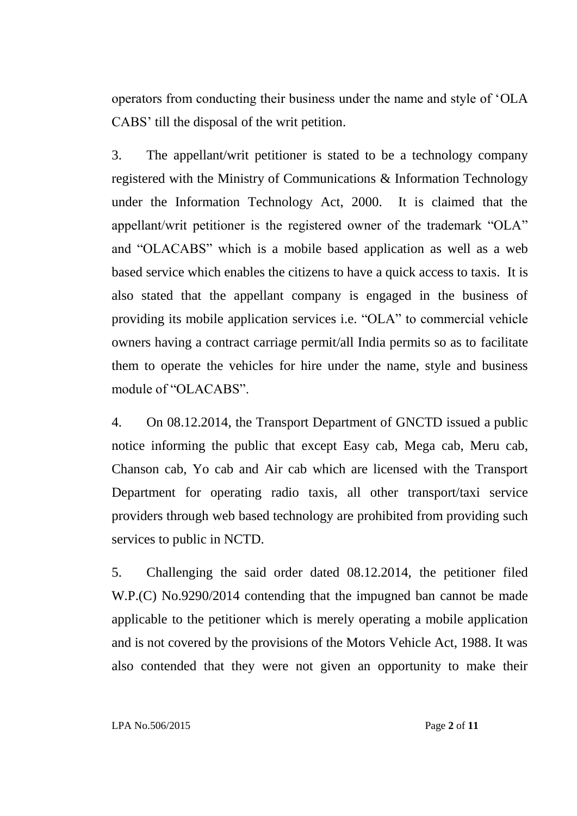operators from conducting their business under the name and style of "OLA CABS" till the disposal of the writ petition.

3. The appellant/writ petitioner is stated to be a technology company registered with the Ministry of Communications & Information Technology under the Information Technology Act, 2000. It is claimed that the appellant/writ petitioner is the registered owner of the trademark "OLA" and "OLACABS" which is a mobile based application as well as a web based service which enables the citizens to have a quick access to taxis. It is also stated that the appellant company is engaged in the business of providing its mobile application services i.e. "OLA" to commercial vehicle owners having a contract carriage permit/all India permits so as to facilitate them to operate the vehicles for hire under the name, style and business module of "OLACABS".

4. On 08.12.2014, the Transport Department of GNCTD issued a public notice informing the public that except Easy cab, Mega cab, Meru cab, Chanson cab, Yo cab and Air cab which are licensed with the Transport Department for operating radio taxis, all other transport/taxi service providers through web based technology are prohibited from providing such services to public in NCTD.

5. Challenging the said order dated 08.12.2014, the petitioner filed W.P.(C) No.9290/2014 contending that the impugned ban cannot be made applicable to the petitioner which is merely operating a mobile application and is not covered by the provisions of the Motors Vehicle Act, 1988. It was also contended that they were not given an opportunity to make their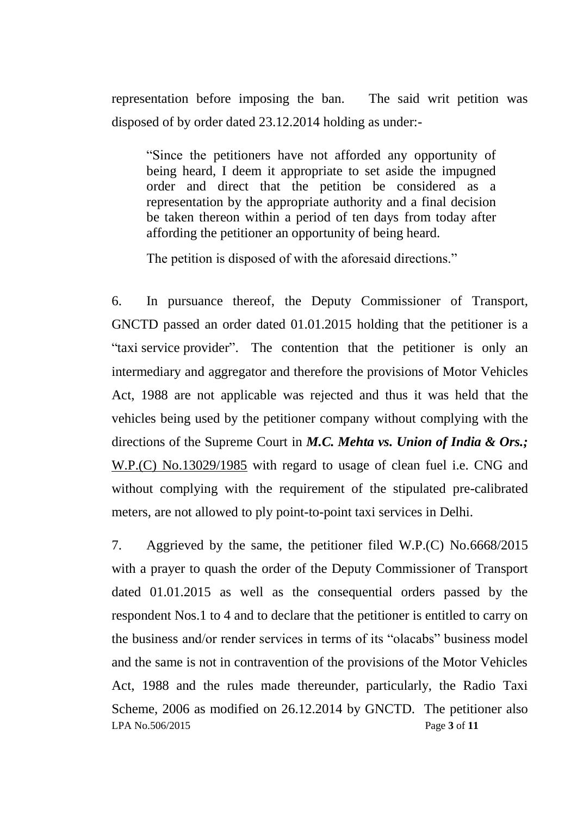representation before imposing the ban. The said writ petition was disposed of by order dated 23.12.2014 holding as under:-

"Since the petitioners have not afforded any opportunity of being heard, I deem it appropriate to set aside the impugned order and direct that the petition be considered as a representation by the appropriate authority and a final decision be taken thereon within a period of ten days from today after affording the petitioner an opportunity of being heard.

The petition is disposed of with the aforesaid directions."

6. In pursuance thereof, the Deputy Commissioner of Transport, GNCTD passed an order dated 01.01.2015 holding that the petitioner is a "taxi service provider". The contention that the petitioner is only an intermediary and aggregator and therefore the provisions of Motor Vehicles Act, 1988 are not applicable was rejected and thus it was held that the vehicles being used by the petitioner company without complying with the directions of the Supreme Court in *M.C. Mehta vs. Union of India & Ors.;* W.P.(C) No.13029/1985 with regard to usage of clean fuel i.e. CNG and without complying with the requirement of the stipulated pre-calibrated meters, are not allowed to ply point-to-point taxi services in Delhi.

LPA No.506/2015 Page **3** of **11** 7. Aggrieved by the same, the petitioner filed W.P.(C) No.6668/2015 with a prayer to quash the order of the Deputy Commissioner of Transport dated 01.01.2015 as well as the consequential orders passed by the respondent Nos.1 to 4 and to declare that the petitioner is entitled to carry on the business and/or render services in terms of its "olacabs" business model and the same is not in contravention of the provisions of the Motor Vehicles Act, 1988 and the rules made thereunder, particularly, the Radio Taxi Scheme, 2006 as modified on 26.12.2014 by GNCTD. The petitioner also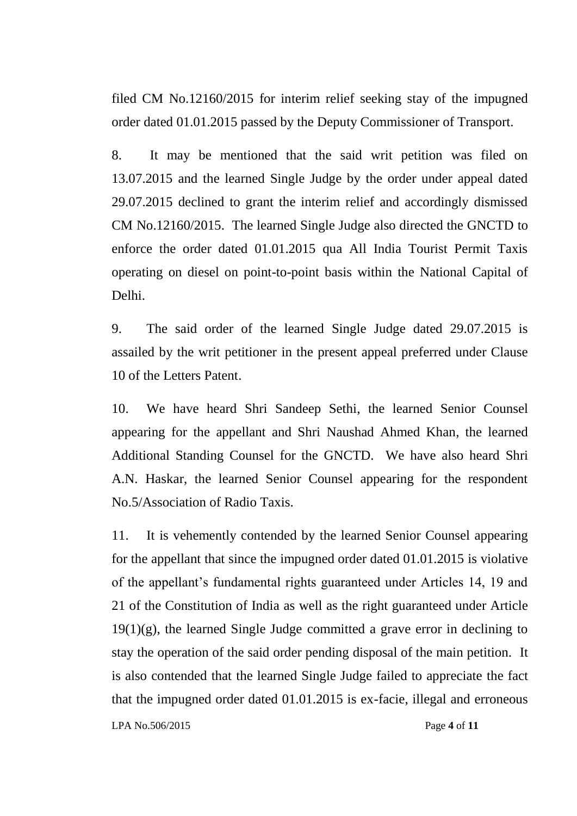filed CM No.12160/2015 for interim relief seeking stay of the impugned order dated 01.01.2015 passed by the Deputy Commissioner of Transport.

8. It may be mentioned that the said writ petition was filed on 13.07.2015 and the learned Single Judge by the order under appeal dated 29.07.2015 declined to grant the interim relief and accordingly dismissed CM No.12160/2015. The learned Single Judge also directed the GNCTD to enforce the order dated 01.01.2015 qua All India Tourist Permit Taxis operating on diesel on point-to-point basis within the National Capital of Delhi.

9. The said order of the learned Single Judge dated 29.07.2015 is assailed by the writ petitioner in the present appeal preferred under Clause 10 of the Letters Patent.

10. We have heard Shri Sandeep Sethi, the learned Senior Counsel appearing for the appellant and Shri Naushad Ahmed Khan, the learned Additional Standing Counsel for the GNCTD. We have also heard Shri A.N. Haskar, the learned Senior Counsel appearing for the respondent No.5/Association of Radio Taxis.

11. It is vehemently contended by the learned Senior Counsel appearing for the appellant that since the impugned order dated 01.01.2015 is violative of the appellant"s fundamental rights guaranteed under Articles 14, 19 and 21 of the Constitution of India as well as the right guaranteed under Article  $19(1)(g)$ , the learned Single Judge committed a grave error in declining to stay the operation of the said order pending disposal of the main petition. It is also contended that the learned Single Judge failed to appreciate the fact that the impugned order dated 01.01.2015 is ex-facie, illegal and erroneous

LPA No.506/2015 Page **4** of **11**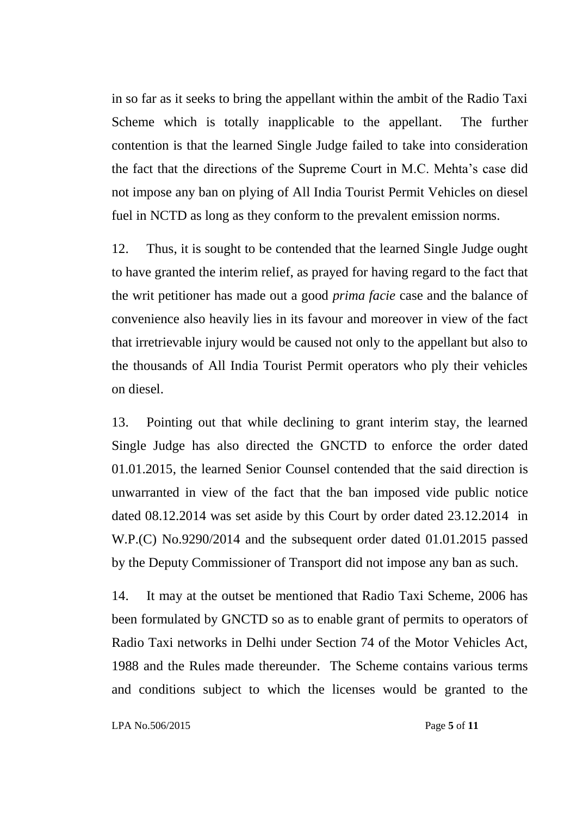in so far as it seeks to bring the appellant within the ambit of the Radio Taxi Scheme which is totally inapplicable to the appellant. The further contention is that the learned Single Judge failed to take into consideration the fact that the directions of the Supreme Court in M.C. Mehta"s case did not impose any ban on plying of All India Tourist Permit Vehicles on diesel fuel in NCTD as long as they conform to the prevalent emission norms.

12. Thus, it is sought to be contended that the learned Single Judge ought to have granted the interim relief, as prayed for having regard to the fact that the writ petitioner has made out a good *prima facie* case and the balance of convenience also heavily lies in its favour and moreover in view of the fact that irretrievable injury would be caused not only to the appellant but also to the thousands of All India Tourist Permit operators who ply their vehicles on diesel.

13. Pointing out that while declining to grant interim stay, the learned Single Judge has also directed the GNCTD to enforce the order dated 01.01.2015, the learned Senior Counsel contended that the said direction is unwarranted in view of the fact that the ban imposed vide public notice dated 08.12.2014 was set aside by this Court by order dated 23.12.2014 in W.P.(C) No.9290/2014 and the subsequent order dated 01.01.2015 passed by the Deputy Commissioner of Transport did not impose any ban as such.

14. It may at the outset be mentioned that Radio Taxi Scheme, 2006 has been formulated by GNCTD so as to enable grant of permits to operators of Radio Taxi networks in Delhi under Section 74 of the Motor Vehicles Act, 1988 and the Rules made thereunder. The Scheme contains various terms and conditions subject to which the licenses would be granted to the

LPA No.506/2015 Page **5** of **11**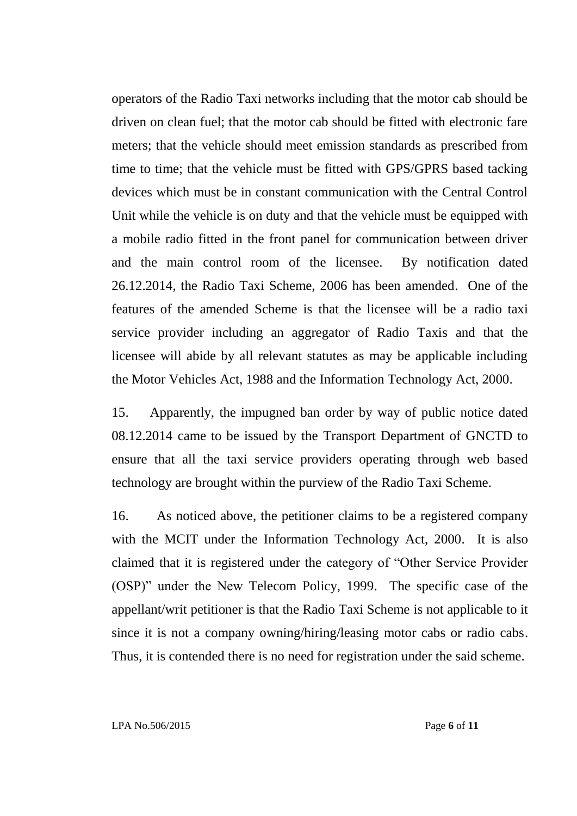operators of the Radio Taxi networks including that the motor cab should be driven on clean fuel; that the motor cab should be fitted with electronic fare meters; that the vehicle should meet emission standards as prescribed from time to time; that the vehicle must be fitted with GPS/GPRS based tacking devices which must be in constant communication with the Central Control Unit while the vehicle is on duty and that the vehicle must be equipped with a mobile radio fitted in the front panel for communication between driver and the main control room of the licensee. By notification dated 26.12.2014, the Radio Taxi Scheme, 2006 has been amended. One of the features of the amended Scheme is that the licensee will be a radio taxi service provider including an aggregator of Radio Taxis and that the licensee will abide by all relevant statutes as may be applicable including the Motor Vehicles Act, 1988 and the Information Technology Act, 2000.

15. Apparently, the impugned ban order by way of public notice dated 08.12.2014 came to be issued by the Transport Department of GNCTD to ensure that all the taxi service providers operating through web based technology are brought within the purview of the Radio Taxi Scheme.

16. As noticed above, the petitioner claims to be a registered company with the MCIT under the Information Technology Act, 2000. It is also claimed that it is registered under the category of "Other Service Provider (OSP)" under the New Telecom Policy, 1999. The specific case of the appellant/writ petitioner is that the Radio Taxi Scheme is not applicable to it since it is not a company owning/hiring/leasing motor cabs or radio cabs. Thus, it is contended there is no need for registration under the said scheme.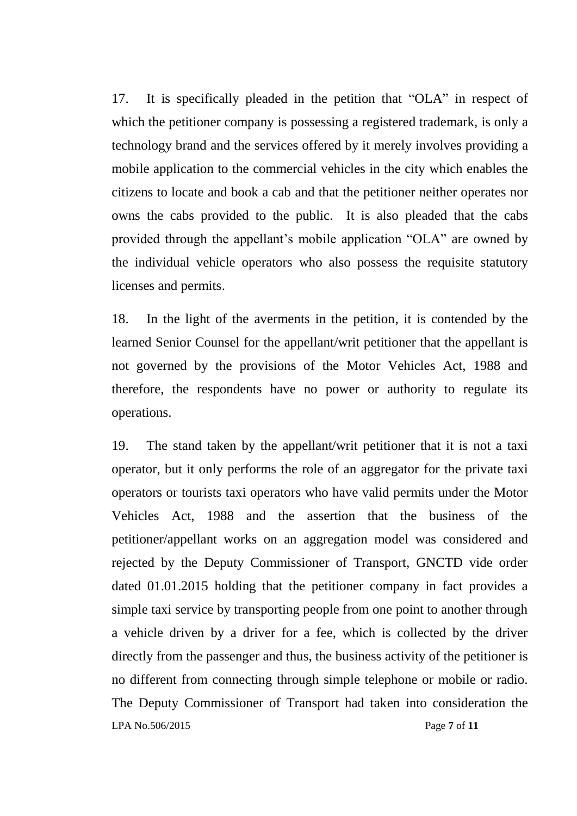17. It is specifically pleaded in the petition that "OLA" in respect of which the petitioner company is possessing a registered trademark, is only a technology brand and the services offered by it merely involves providing a mobile application to the commercial vehicles in the city which enables the citizens to locate and book a cab and that the petitioner neither operates nor owns the cabs provided to the public. It is also pleaded that the cabs provided through the appellant"s mobile application "OLA" are owned by the individual vehicle operators who also possess the requisite statutory licenses and permits.

18. In the light of the averments in the petition, it is contended by the learned Senior Counsel for the appellant/writ petitioner that the appellant is not governed by the provisions of the Motor Vehicles Act, 1988 and therefore, the respondents have no power or authority to regulate its operations.

LPA No.506/2015 Page **7** of **11** 19. The stand taken by the appellant/writ petitioner that it is not a taxi operator, but it only performs the role of an aggregator for the private taxi operators or tourists taxi operators who have valid permits under the Motor Vehicles Act, 1988 and the assertion that the business of the petitioner/appellant works on an aggregation model was considered and rejected by the Deputy Commissioner of Transport, GNCTD vide order dated 01.01.2015 holding that the petitioner company in fact provides a simple taxi service by transporting people from one point to another through a vehicle driven by a driver for a fee, which is collected by the driver directly from the passenger and thus, the business activity of the petitioner is no different from connecting through simple telephone or mobile or radio. The Deputy Commissioner of Transport had taken into consideration the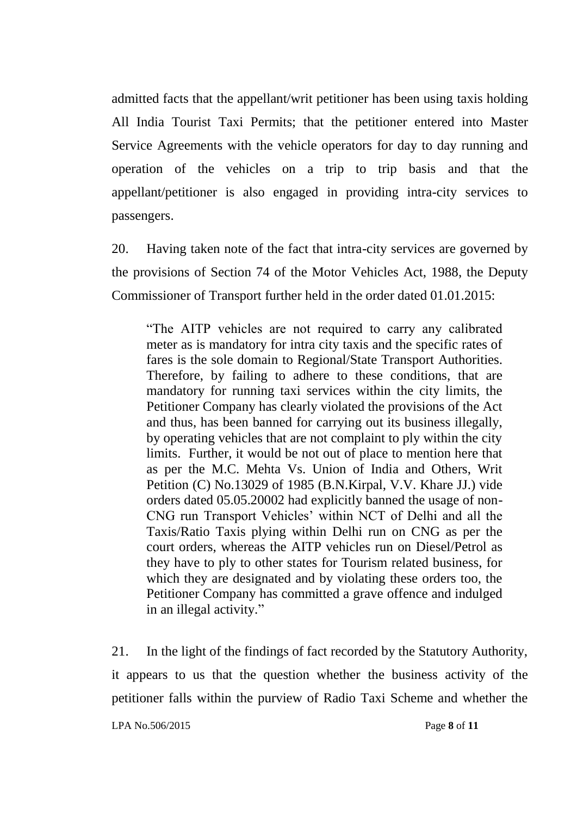admitted facts that the appellant/writ petitioner has been using taxis holding All India Tourist Taxi Permits; that the petitioner entered into Master Service Agreements with the vehicle operators for day to day running and operation of the vehicles on a trip to trip basis and that the appellant/petitioner is also engaged in providing intra-city services to passengers.

20. Having taken note of the fact that intra-city services are governed by the provisions of Section 74 of the Motor Vehicles Act, 1988, the Deputy Commissioner of Transport further held in the order dated 01.01.2015:

"The AITP vehicles are not required to carry any calibrated meter as is mandatory for intra city taxis and the specific rates of fares is the sole domain to Regional/State Transport Authorities. Therefore, by failing to adhere to these conditions, that are mandatory for running taxi services within the city limits, the Petitioner Company has clearly violated the provisions of the Act and thus, has been banned for carrying out its business illegally, by operating vehicles that are not complaint to ply within the city limits. Further, it would be not out of place to mention here that as per the M.C. Mehta Vs. Union of India and Others, Writ Petition (C) No.13029 of 1985 (B.N.Kirpal, V.V. Khare JJ.) vide orders dated 05.05.20002 had explicitly banned the usage of non-CNG run Transport Vehicles" within NCT of Delhi and all the Taxis/Ratio Taxis plying within Delhi run on CNG as per the court orders, whereas the AITP vehicles run on Diesel/Petrol as they have to ply to other states for Tourism related business, for which they are designated and by violating these orders too, the Petitioner Company has committed a grave offence and indulged in an illegal activity."

21. In the light of the findings of fact recorded by the Statutory Authority, it appears to us that the question whether the business activity of the petitioner falls within the purview of Radio Taxi Scheme and whether the

LPA No.506/2015 Page **8** of **11**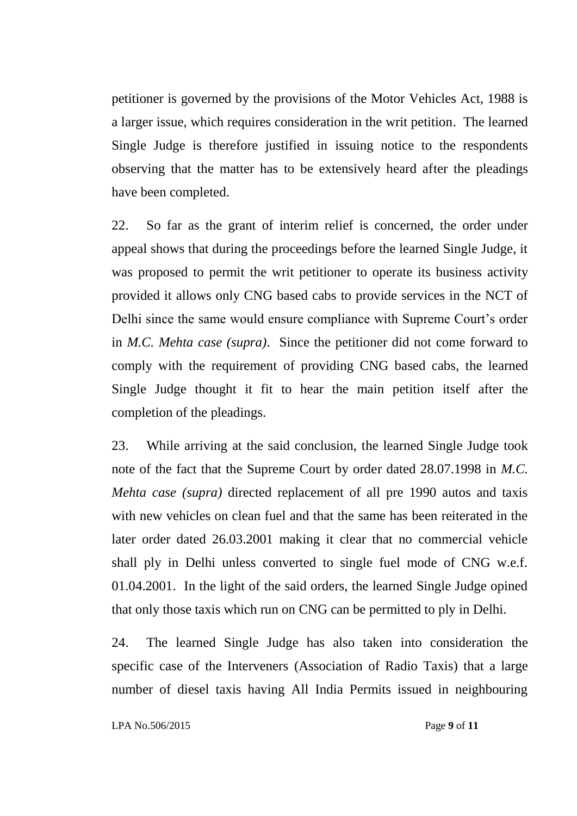petitioner is governed by the provisions of the Motor Vehicles Act, 1988 is a larger issue, which requires consideration in the writ petition. The learned Single Judge is therefore justified in issuing notice to the respondents observing that the matter has to be extensively heard after the pleadings have been completed.

22. So far as the grant of interim relief is concerned, the order under appeal shows that during the proceedings before the learned Single Judge, it was proposed to permit the writ petitioner to operate its business activity provided it allows only CNG based cabs to provide services in the NCT of Delhi since the same would ensure compliance with Supreme Court's order in *M.C. Mehta case (supra)*. Since the petitioner did not come forward to comply with the requirement of providing CNG based cabs, the learned Single Judge thought it fit to hear the main petition itself after the completion of the pleadings.

23. While arriving at the said conclusion, the learned Single Judge took note of the fact that the Supreme Court by order dated 28.07.1998 in *M.C. Mehta case (supra)* directed replacement of all pre 1990 autos and taxis with new vehicles on clean fuel and that the same has been reiterated in the later order dated 26.03.2001 making it clear that no commercial vehicle shall ply in Delhi unless converted to single fuel mode of CNG w.e.f. 01.04.2001. In the light of the said orders, the learned Single Judge opined that only those taxis which run on CNG can be permitted to ply in Delhi.

24. The learned Single Judge has also taken into consideration the specific case of the Interveners (Association of Radio Taxis) that a large number of diesel taxis having All India Permits issued in neighbouring

LPA No.506/2015 Page **9** of **11**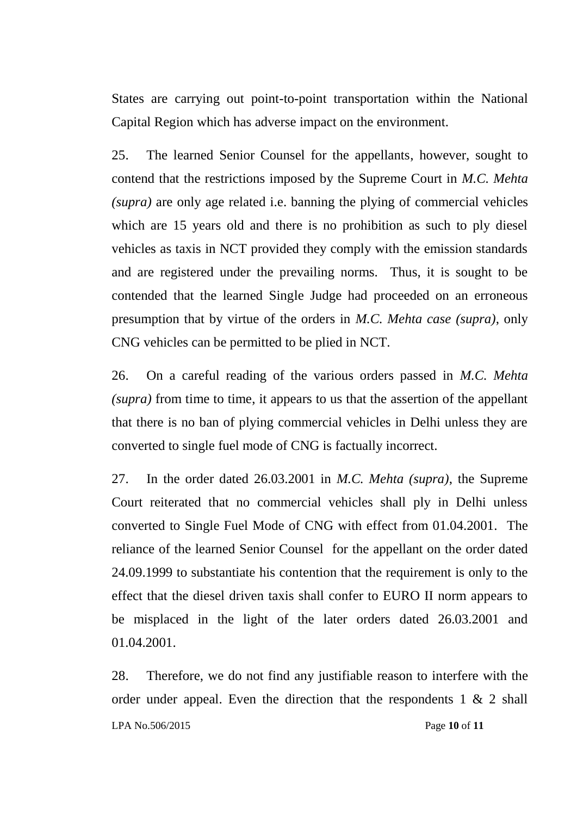States are carrying out point-to-point transportation within the National Capital Region which has adverse impact on the environment.

25. The learned Senior Counsel for the appellants, however, sought to contend that the restrictions imposed by the Supreme Court in *M.C. Mehta (supra)* are only age related i.e. banning the plying of commercial vehicles which are 15 years old and there is no prohibition as such to ply diesel vehicles as taxis in NCT provided they comply with the emission standards and are registered under the prevailing norms. Thus, it is sought to be contended that the learned Single Judge had proceeded on an erroneous presumption that by virtue of the orders in *M.C. Mehta case (supra)*, only CNG vehicles can be permitted to be plied in NCT.

26. On a careful reading of the various orders passed in *M.C. Mehta (supra)* from time to time, it appears to us that the assertion of the appellant that there is no ban of plying commercial vehicles in Delhi unless they are converted to single fuel mode of CNG is factually incorrect.

27. In the order dated 26.03.2001 in *M.C. Mehta (supra)*, the Supreme Court reiterated that no commercial vehicles shall ply in Delhi unless converted to Single Fuel Mode of CNG with effect from 01.04.2001. The reliance of the learned Senior Counsel for the appellant on the order dated 24.09.1999 to substantiate his contention that the requirement is only to the effect that the diesel driven taxis shall confer to EURO II norm appears to be misplaced in the light of the later orders dated 26.03.2001 and 01.04.2001.

LPA No.506/2015 Page **10** of **11** 28. Therefore, we do not find any justifiable reason to interfere with the order under appeal. Even the direction that the respondents  $1 \& 2$  shall